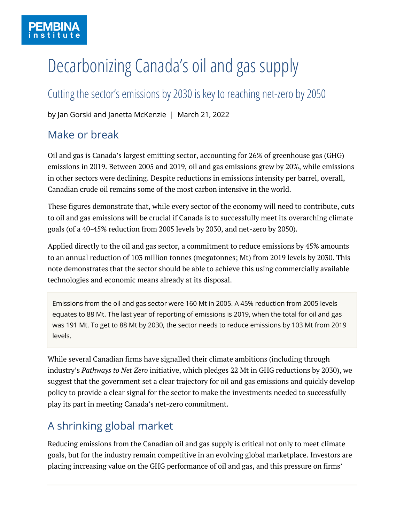# Decarbonizing Canada's oil and gas supply

# Cutting the sector's emissions by 2030 is key to reaching net-zero by 2050

by Jan Gorski and Janetta McKenzie | March 21, 2022

## Make or break

Oil and gas is Canada's largest emitting sector, accounting for 26% of greenhouse gas (GHG) emissions in 2019. Between 2005 and 2019, oil and gas emissions grew by 20%, while emissions in other sectors were declining. Despite reductions in emissions intensity per barrel, overall, Canadian crude oil remains some of the most carbon intensive in the world.

These figures demonstrate that, while every sector of the economy will need to contribute, cuts to oil and gas emissions will be crucial if Canada is to successfully meet its overarching climate goals (of a 40-45% reduction from 2005 levels by 2030, and net-zero by 2050).

Applied directly to the oil and gas sector, a commitment to reduce emissions by 45% amounts to an annual reduction of 103 million tonnes (megatonnes; Mt) from 2019 levels by 2030. This note demonstrates that the sector should be able to achieve this using commercially available technologies and economic means already at its disposal.

Emissions from the oil and gas sector were 160 Mt in 2005. A 45% reduction from 2005 levels equates to 88 Mt. The last year of reporting of emissions is 2019, when the total for oil and gas was 191 Mt. To get to 88 Mt by 2030, the sector needs to reduce emissions by 103 Mt from 2019 levels.

While several Canadian firms have signalled their climate ambitions (including through industry's *Pathways to Net Zero* initiative, which pledges 22 Mt in GHG reductions by 2030), we suggest that the government set a clear trajectory for oil and gas emissions and quickly develop policy to provide a clear signal for the sector to make the investments needed to successfully play its part in meeting Canada's net-zero commitment.

# A shrinking global market

Reducing emissions from the Canadian oil and gas supply is critical not only to meet climate goals, but for the industry remain competitive in an evolving global marketplace. Investors are placing increasing value on the GHG performance of oil and gas, and this pressure on firms'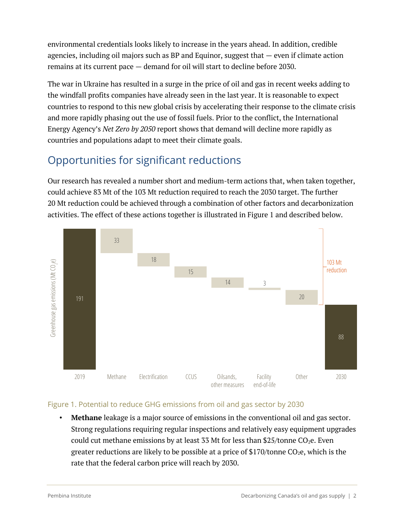environmental credentials looks likely to increase in the years ahead. In addition, credible agencies, including oil majors such as  $BP$  and Equinor, suggest that  $-$  even if climate action remains at its current pace — demand for oil will start to decline before 2030.

The war in Ukraine has resulted in a surge in the price of oil and gas in recent weeks adding to the windfall profits companies have already seen in the last year. It is reasonable to expect countries to respond to this new global crisis by accelerating their response to the climate crisis and more rapidly phasing out the use of fossil fuels. Prior to the conflict, the International Energy Agency's *Net Zero by 2050* report shows that demand will decline more rapidly as countries and populations adapt to meet their climate goals.

# Opportunities for significant reductions

Our research has revealed a number short and medium-term actions that, when taken together, could achieve 83 Mt of the 103 Mt reduction required to reach the 2030 target. The further 20 Mt reduction could be achieved through a combination of other factors and decarbonization activities. The effect of these actions together is illustrated in Figure 1 and described below.



#### Figure 1. Potential to reduce GHG emissions from oil and gas sector by 2030

• **Methane** leakage is a major source of emissions in the conventional oil and gas sector. Strong regulations requiring regular inspections and relatively easy equipment upgrades could cut methane emissions by at least 33 Mt for less than \$25/tonne  $CO<sub>2</sub>e$ . Even greater reductions are likely to be possible at a price of \$170/tonne  $CO<sub>2</sub>e$ , which is the rate that the federal carbon price will reach by 2030.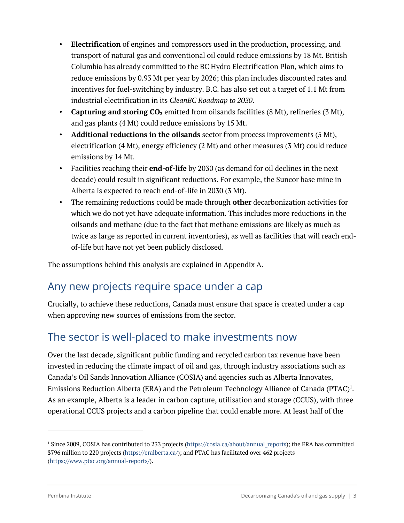- **Electrification** of engines and compressors used in the production, processing, and transport of natural gas and conventional oil could reduce emissions by 18 Mt. British Columbia has already committed to the BC Hydro Electrification Plan, which aims to reduce emissions by 0.93 Mt per year by 2026; this plan includes discounted rates and incentives for fuel-switching by industry. B.C. has also set out a target of 1.1 Mt from industrial electrification in its *CleanBC Roadmap to 2030*.
- **Capturing and storing CO**<sub>2</sub> emitted from oilsands facilities (8 Mt), refineries (3 Mt), and gas plants (4 Mt) could reduce emissions by 15 Mt.
- **Additional reductions in the oilsands** sector from process improvements (5 Mt), electrification (4 Mt), energy efficiency (2 Mt) and other measures (3 Mt) could reduce emissions by 14 Mt.
- Facilities reaching their **end-of-life** by 2030 (as demand for oil declines in the next decade) could result in significant reductions. For example, the Suncor base mine in Alberta is expected to reach end-of-life in 2030 (3 Mt).
- The remaining reductions could be made through **other** decarbonization activities for which we do not yet have adequate information. This includes more reductions in the oilsands and methane (due to the fact that methane emissions are likely as much as twice as large as reported in current inventories), as well as facilities that will reach endof-life but have not yet been publicly disclosed.

The assumptions behind this analysis are explained in Appendix A.

### Any new projects require space under a cap

Crucially, to achieve these reductions, Canada must ensure that space is created under a cap when approving new sources of emissions from the sector.

### The sector is well-placed to make investments now

Over the last decade, significant public funding and recycled carbon tax revenue have been invested in reducing the climate impact of oil and gas, through industry associations such as Canada's Oil Sands Innovation Alliance (COSIA) and agencies such as Alberta Innovates, Emissions Reduction Alberta (ERA) and the Petroleum Technology Alliance of Canada (PTAC) 1 . As an example, Alberta is a leader in carbon capture, utilisation and storage (CCUS), with three operational CCUS projects and a carbon pipeline that could enable more. At least half of the

<sup>&</sup>lt;sup>1</sup> Since 2009, COSIA has contributed to 233 projects (https://cosia.ca/about/annual\_reports); the ERA has committed \$796 million to 220 projects (https://eralberta.ca/); and PTAC has facilitated over 462 projects (https://www.ptac.org/annual-reports/).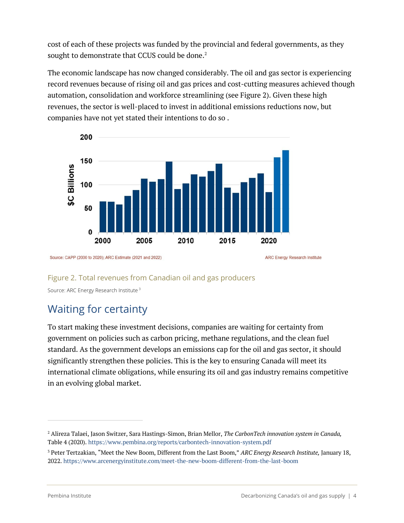cost of each of these projects was funded by the provincial and federal governments, as they sought to demonstrate that CCUS could be done.<sup>2</sup>

The economic landscape has now changed considerably. The oil and gas sector is experiencing record revenues because of rising oil and gas prices and cost-cutting measures achieved though automation, consolidation and workforce streamlining (see Figure 2). Given these high revenues, the sector is well-placed to invest in additional emissions reductions now, but companies have not yet stated their intentions to do so .



Source: CAPP (2000 to 2020); ARC Estimate (2021 and 2022)

#### Figure 2. Total revenues from Canadian oil and gas producers

Source: ARC Energy Research Institute <sup>3</sup>

## Waiting for certainty

To start making these investment decisions, companies are waiting for certainty from government on policies such as carbon pricing, methane regulations, and the clean fuel standard. As the government develops an emissions cap for the oil and gas sector, it should significantly strengthen these policies. This is the key to ensuring Canada will meet its international climate obligations, while ensuring its oil and gas industry remains competitive in an evolving global market.

**ARC Energy Research Institute** 

<sup>2</sup> Alireza Talaei, Jason Switzer, Sara Hastings-Simon, Brian Mellor, *The CarbonTech innovation system in Canada,*  Table 4 (2020). https://www.pembina.org/reports/carbontech-innovation-system.pdf

<sup>3</sup> Peter Tertzakian, "Meet the New Boom, Different from the Last Boom," *ARC Energy Research Institute,* January 18, 2022. https://www.arcenergyinstitute.com/meet-the-new-boom-different-from-the-last-boom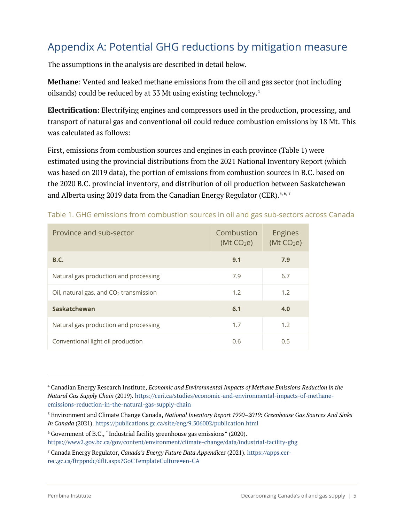# Appendix A: Potential GHG reductions by mitigation measure

The assumptions in the analysis are described in detail below.

**Methane**: Vented and leaked methane emissions from the oil and gas sector (not including oilsands) could be reduced by at 33 Mt using existing technology. 4

**Electrification**: Electrifying engines and compressors used in the production, processing, and transport of natural gas and conventional oil could reduce combustion emissions by 18 Mt. This was calculated as follows:

First, emissions from combustion sources and engines in each province (Table 1) were estimated using the provincial distributions from the 2021 National Inventory Report (which was based on 2019 data), the portion of emissions from combustion sources in B.C. based on the 2020 B.C. provincial inventory, and distribution of oil production between Saskatchewan and Alberta using 2019 data from the Canadian Energy Regulator (CER).<sup>5, 6, 7</sup>

| Province and sub-sector                  | Combustion<br>(Mt $CO2e$ ) | <b>Engines</b><br>(Mt $CO2e$ ) |
|------------------------------------------|----------------------------|--------------------------------|
| <b>B.C.</b>                              | 9.1                        | 7.9                            |
| Natural gas production and processing    | 7.9                        | 6.7                            |
| Oil, natural gas, and $CO2$ transmission | 1.2                        | 1.2                            |
| Saskatchewan                             | 6.1                        | 4.0                            |
| Natural gas production and processing    | 1.7                        | 1.2                            |
| Conventional light oil production        | 0.6                        | 0.5                            |

#### Table 1. GHG emissions from combustion sources in oil and gas sub-sectors across Canada

<sup>4</sup> Canadian Energy Research Institute, *Economic and Environmental Impacts of Methane Emissions Reduction in the Natural Gas Supply Chain* (2019). https://ceri.ca/studies/economic-and-environmental-impacts-of-methaneemissions-reduction-in-the-natural-gas-supply-chain

<sup>5</sup> Environment and Climate Change Canada, *National Inventory Report 1990–2019: Greenhouse Gas Sources And Sinks In Canada* (2021). https://publications.gc.ca/site/eng/9.506002/publication.html

<sup>6</sup> Government of B.C., "Industrial facility greenhouse gas emissions" (2020).

https://www2.gov.bc.ca/gov/content/environment/climate-change/data/industrial-facility-ghg

<sup>7</sup> Canada Energy Regulator, *Canada's Energy Future Data Appendices* (2021). https://apps.cerrec.gc.ca/ftrppndc/dflt.aspx?GoCTemplateCulture=en-CA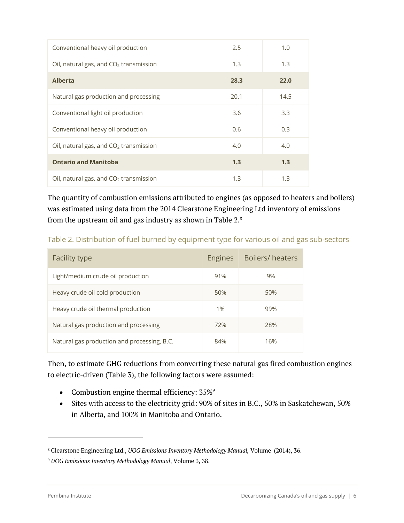| Conventional heavy oil production                  | 2.5  | 1.0  |
|----------------------------------------------------|------|------|
| Oil, natural gas, and CO <sub>2</sub> transmission | 1.3  | 1.3  |
| <b>Alberta</b>                                     | 28.3 | 22.0 |
| Natural gas production and processing              | 20.1 | 14.5 |
| Conventional light oil production                  | 3.6  | 3.3  |
| Conventional heavy oil production                  | 0.6  | 0.3  |
| Oil, natural gas, and $CO2$ transmission           | 4.0  | 4.0  |
| <b>Ontario and Manitoba</b>                        | 1.3  | 1.3  |
| Oil, natural gas, and $CO2$ transmission           | 1.3  | 1.3  |
|                                                    |      |      |

The quantity of combustion emissions attributed to engines (as opposed to heaters and boilers) was estimated using data from the 2014 Clearstone Engineering Ltd inventory of emissions from the upstream oil and gas industry as shown in Table  $2.8$ 

|  |  | Table 2. Distribution of fuel burned by equipment type for various oil and gas sub-sectors |
|--|--|--------------------------------------------------------------------------------------------|
|  |  |                                                                                            |

| <b>Facility type</b>                        | <b>Engines</b> | Boilers/heaters |
|---------------------------------------------|----------------|-----------------|
| Light/medium crude oil production           | 91%            | 9%              |
| Heavy crude oil cold production             | 50%            | 50%             |
| Heavy crude oil thermal production          | 1%             | 99%             |
| Natural gas production and processing       | 72%            | 28%             |
| Natural gas production and processing, B.C. | 84%            | 16%             |

Then, to estimate GHG reductions from converting these natural gas fired combustion engines to electric-driven (Table 3), the following factors were assumed:

- Combustion engine thermal efficiency:  $35\%$ <sup>9</sup>
- Sites with access to the electricity grid: 90% of sites in B.C., 50% in Saskatchewan, 50% in Alberta, and 100% in Manitoba and Ontario.

<sup>8</sup> Clearstone Engineering Ltd., *UOG Emissions Inventory Methodology Manual,* Volume (2014), 36.

<sup>9</sup> *UOG Emissions Inventory Methodology Manual*, Volume 3, 38.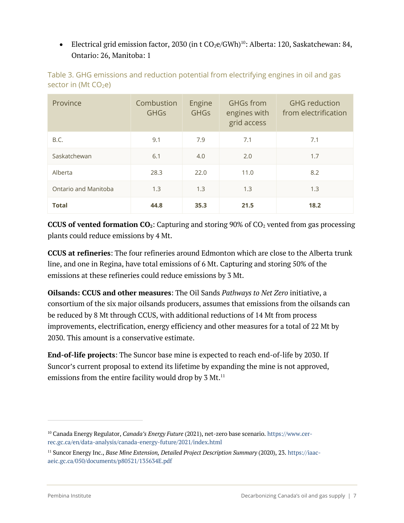• Electrical grid emission factor, 2030 (in t  $CO<sub>2</sub>e/GWh$ )<sup>10</sup>: Alberta: 120, Saskatchewan: 84, Ontario: 26, Manitoba: 1

| Province             | Combustion<br><b>GHGs</b> | Engine<br><b>GHGs</b> | <b>GHGs from</b><br>engines with<br>grid access | <b>GHG</b> reduction<br>from electrification |
|----------------------|---------------------------|-----------------------|-------------------------------------------------|----------------------------------------------|
| <b>B.C.</b>          | 9.1                       | 7.9                   | 7.1                                             | 7.1                                          |
| Saskatchewan         | 6.1                       | 4.0                   | 2.0                                             | 1.7                                          |
| Alberta              | 28.3                      | 22.0                  | 11.0                                            | 8.2                                          |
| Ontario and Manitoba | 1.3                       | 1.3                   | 1.3                                             | 1.3                                          |
| <b>Total</b>         | 44.8                      | 35.3                  | 21.5                                            | 18.2                                         |

Table 3. GHG emissions and reduction potential from electrifying engines in oil and gas sector in (Mt  $CO<sub>2</sub>e$ )

**CCUS of vented formation CO<sub>2</sub>:** Capturing and storing 90% of  $CO_2$  vented from gas processing plants could reduce emissions by 4 Mt.

**CCUS at refineries**: The four refineries around Edmonton which are close to the Alberta trunk line, and one in Regina, have total emissions of 6 Mt. Capturing and storing 50% of the emissions at these refineries could reduce emissions by 3 Mt.

**Oilsands: CCUS and other measures**: The Oil Sands *Pathways to Net Zero* initiative, a consortium of the six major oilsands producers, assumes that emissions from the oilsands can be reduced by 8 Mt through CCUS, with additional reductions of 14 Mt from process improvements, electrification, energy efficiency and other measures for a total of 22 Mt by 2030. This amount is a conservative estimate.

**End-of-life projects**: The Suncor base mine is expected to reach end-of-life by 2030. If Suncor's current proposal to extend its lifetime by expanding the mine is not approved, emissions from the entire facility would drop by 3 Mt.<sup>11</sup>

<sup>10</sup> Canada Energy Regulator, *Canada's Energy Future* (2021), net-zero base scenario. https://www.cerrec.gc.ca/en/data-analysis/canada-energy-future/2021/index.html

<sup>11</sup> Suncor Energy Inc., *Base Mine Extension, Detailed Project Description Summary* (2020), 23. https://iaacaeic.gc.ca/050/documents/p80521/135634E.pdf